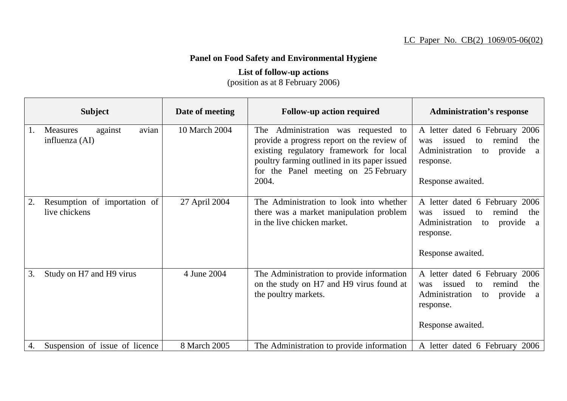## **Panel on Food Safety and Environmental Hygiene**

## **List of follow-up actions**

(position as at 8 February 2006)

|    | <b>Subject</b>                                        | Date of meeting | <b>Follow-up action required</b>                                                                                                                                                                                              | <b>Administration's response</b>                                                                                                                            |
|----|-------------------------------------------------------|-----------------|-------------------------------------------------------------------------------------------------------------------------------------------------------------------------------------------------------------------------------|-------------------------------------------------------------------------------------------------------------------------------------------------------------|
|    | avian<br><b>Measures</b><br>against<br>influenza (AI) | 10 March 2004   | The Administration was requested to<br>provide a progress report on the review of<br>existing regulatory framework for local<br>poultry farming outlined in its paper issued<br>for the Panel meeting on 25 February<br>2004. | A letter dated 6 February 2006<br>remind<br>issued<br>was<br>to<br>the<br>Administration<br>provide a<br>to<br>response.<br>Response awaited.               |
| 2. | Resumption of importation of<br>live chickens         | 27 April 2004   | The Administration to look into whether<br>there was a market manipulation problem<br>in the live chicken market.                                                                                                             | A letter dated 6 February 2006<br>issued<br>remind<br>to<br>the<br>was<br>Administration<br>provide<br>to<br><sub>a</sub><br>response.<br>Response awaited. |
| 3. | Study on H7 and H9 virus                              | 4 June 2004     | The Administration to provide information<br>on the study on H7 and H9 virus found at<br>the poultry markets.                                                                                                                 | A letter dated 6 February 2006<br>issued<br>remind<br>the<br>was<br>to<br>Administration<br>provide<br>to<br><sub>a</sub><br>response.<br>Response awaited. |
| 4. | Suspension of issue of licence                        | 8 March 2005    | The Administration to provide information                                                                                                                                                                                     | A letter dated 6 February 2006                                                                                                                              |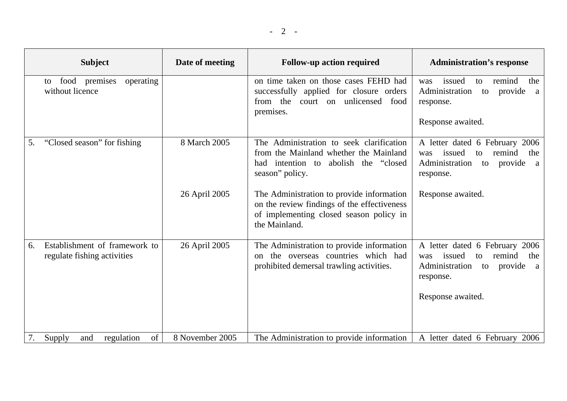| <b>Subject</b>                                                     | Date of meeting | <b>Follow-up action required</b>                                                                                                                     | <b>Administration's response</b>                                                                                            |
|--------------------------------------------------------------------|-----------------|------------------------------------------------------------------------------------------------------------------------------------------------------|-----------------------------------------------------------------------------------------------------------------------------|
| premises<br>food<br>operating<br>to<br>without licence             |                 | on time taken on those cases FEHD had<br>successfully applied for closure orders<br>from the court on unlicensed food<br>premises.                   | issued<br>remind<br>to<br>the<br>was<br>Administration<br>provide<br>to<br>a<br>response.<br>Response awaited.              |
| "Closed season" for fishing<br>5.                                  | 8 March 2005    | The Administration to seek clarification<br>from the Mainland whether the Mainland<br>had intention to<br>abolish the "closed"<br>season" policy.    | A letter dated 6 February 2006<br>remind<br>issued<br>the<br>was<br>to<br>Administration<br>provide<br>to<br>a<br>response. |
|                                                                    | 26 April 2005   | The Administration to provide information<br>on the review findings of the effectiveness<br>of implementing closed season policy in<br>the Mainland. | Response awaited.                                                                                                           |
| Establishment of framework to<br>6.<br>regulate fishing activities | 26 April 2005   | The Administration to provide information<br>the overseas countries which had<br>$\Omega$<br>prohibited demersal trawling activities.                | A letter dated 6 February 2006<br>remind<br>issued<br>the<br>was<br>to<br>provide<br>Administration<br>to<br>a<br>response. |
|                                                                    |                 |                                                                                                                                                      | Response awaited.                                                                                                           |
| regulation<br>of<br>Supply<br>7.<br>and                            | 8 November 2005 | The Administration to provide information                                                                                                            | A letter dated 6 February 2006                                                                                              |